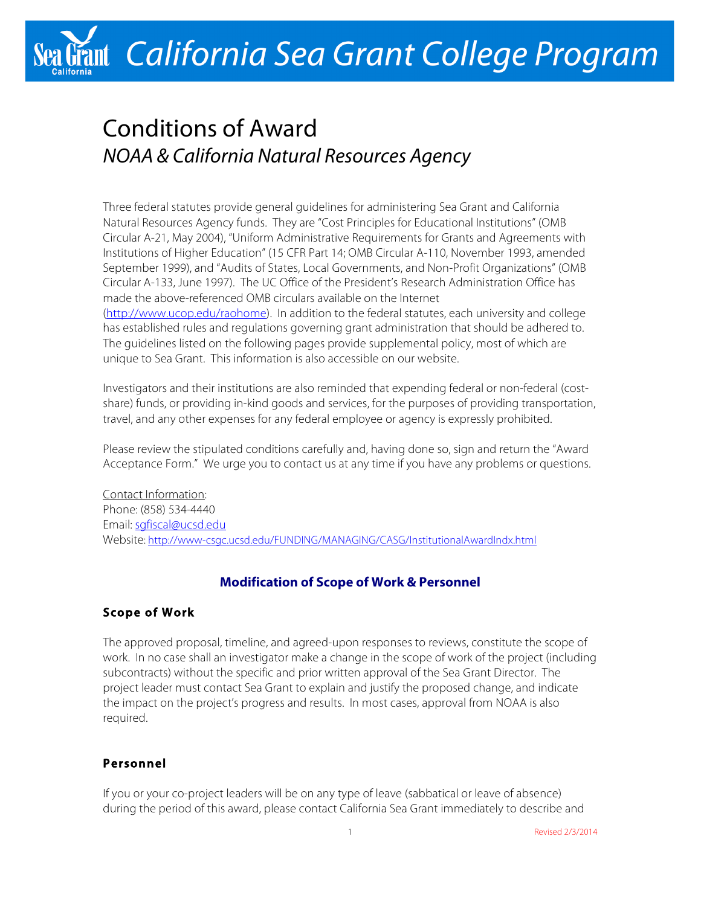# Stant California Sea Grant College Program

# Conditions of Award *NOAA & California Natural Resources Agency*

Three federal statutes provide general guidelines for administering Sea Grant and California Natural Resources Agency funds. They are "Cost Principles for Educational Institutions" (OMB Circular A-21, May 2004), "Uniform Administrative Requirements for Grants and Agreements with Institutions of Higher Education" (15 CFR Part 14; OMB Circular A-110, November 1993, amended September 1999), and "Audits of States, Local Governments, and Non-Profit Organizations" (OMB Circular A-133, June 1997). The UC Office of the President's Research Administration Office has made the above-referenced OMB circulars available on the Internet (http://www.ucop.edu/raohome). In addition to the federal statutes, each university and college has established rules and regulations governing grant administration that should be adhered to. The guidelines listed on the following pages provide supplemental policy, most of which are unique to Sea Grant. This information is also accessible on our website.

Investigators and their institutions are also reminded that expending federal or non-federal (costshare) funds, or providing in-kind goods and services, for the purposes of providing transportation, travel, and any other expenses for any federal employee or agency is expressly prohibited.

Please review the stipulated conditions carefully and, having done so, sign and return the "Award Acceptance Form." We urge you to contact us at any time if you have any problems or questions.

Contact Information: Phone: (858) 534-4440 Email: sgfiscal@ucsd.edu Website: http://www-csgc.ucsd.edu/FUNDING/MANAGING/CASG/InstitutionalAwardIndx.html

# **Modification of Scope of Work & Personnel**

# **Scope of Work**

The approved proposal, timeline, and agreed-upon responses to reviews, constitute the scope of work. In no case shall an investigator make a change in the scope of work of the project (including subcontracts) without the specific and prior written approval of the Sea Grant Director. The project leader must contact Sea Grant to explain and justify the proposed change, and indicate the impact on the project's progress and results. In most cases, approval from NOAA is also required.

# **Personnel**

If you or your co-project leaders will be on any type of leave (sabbatical or leave of absence) during the period of this award, please contact California Sea Grant immediately to describe and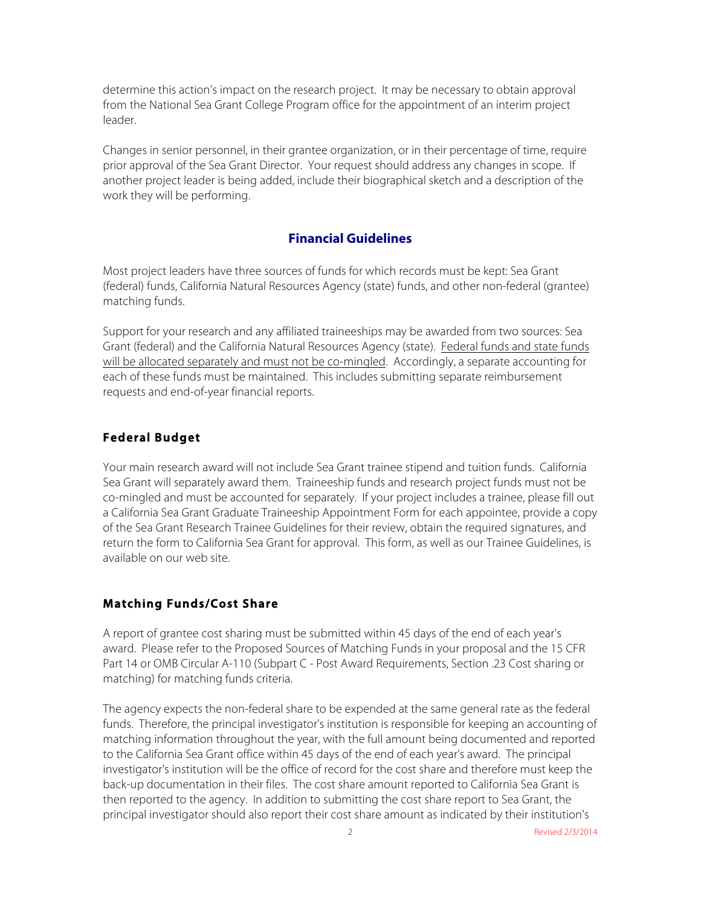determine this action's impact on the research project. It may be necessary to obtain approval from the National Sea Grant College Program office for the appointment of an interim project leader.

Changes in senior personnel, in their grantee organization, or in their percentage of time, require prior approval of the Sea Grant Director. Your request should address any changes in scope. If another project leader is being added, include their biographical sketch and a description of the work they will be performing.

#### **Financial Guidelines**

Most project leaders have three sources of funds for which records must be kept: Sea Grant (federal) funds, California Natural Resources Agency (state) funds, and other non-federal (grantee) matching funds.

Support for your research and any affiliated traineeships may be awarded from two sources: Sea Grant (federal) and the California Natural Resources Agency (state). Federal funds and state funds will be allocated separately and must not be co-mingled. Accordingly, a separate accounting for each of these funds must be maintained. This includes submitting separate reimbursement requests and end-of-year financial reports.

# **Federal Budget**

Your main research award will not include Sea Grant trainee stipend and tuition funds. California Sea Grant will separately award them. Traineeship funds and research project funds must not be co-mingled and must be accounted for separately. If your project includes a trainee, please fill out a California Sea Grant Graduate Traineeship Appointment Form for each appointee, provide a copy of the Sea Grant Research Trainee Guidelines for their review, obtain the required signatures, and return the form to California Sea Grant for approval. This form, as well as our Trainee Guidelines, is available on our web site.

# **Matching Funds/Cost Share**

A report of grantee cost sharing must be submitted within 45 days of the end of each year's award. Please refer to the Proposed Sources of Matching Funds in your proposal and the 15 CFR Part 14 or OMB Circular A-110 (Subpart C - Post Award Requirements, Section .23 Cost sharing or matching) for matching funds criteria.

The agency expects the non-federal share to be expended at the same general rate as the federal funds. Therefore, the principal investigator's institution is responsible for keeping an accounting of matching information throughout the year, with the full amount being documented and reported to the California Sea Grant office within 45 days of the end of each year's award. The principal investigator's institution will be the office of record for the cost share and therefore must keep the back-up documentation in their files. The cost share amount reported to California Sea Grant is then reported to the agency. In addition to submitting the cost share report to Sea Grant, the principal investigator should also report their cost share amount as indicated by their institution's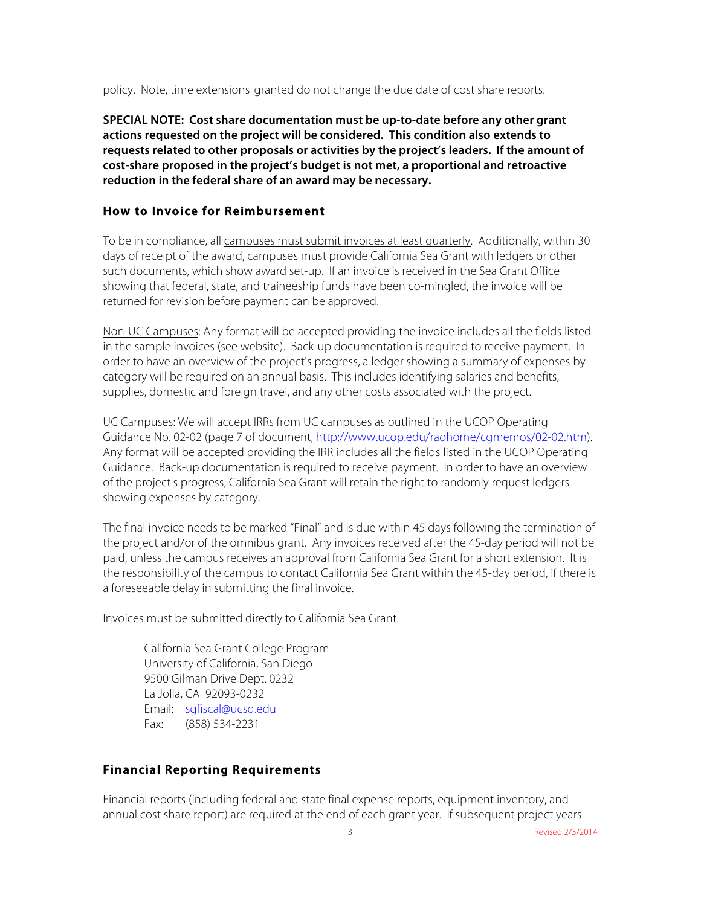policy. Note, time extensions granted do not change the due date of cost share reports.

**SPECIAL NOTE: Cost share documentation must be up-to-date before any other grant actions requested on the project will be considered. This condition also extends to requests related to other proposals or activities by the project's leaders. If the amount of cost-share proposed in the project's budget is not met, a proportional and retroactive reduction in the federal share of an award may be necessary.**

# **How to Invoice for Reimbursement**

To be in compliance, all campuses must submit invoices at least quarterly. Additionally, within 30 days of receipt of the award, campuses must provide California Sea Grant with ledgers or other such documents, which show award set-up. If an invoice is received in the Sea Grant Office showing that federal, state, and traineeship funds have been co-mingled, the invoice will be returned for revision before payment can be approved.

Non-UC Campuses: Any format will be accepted providing the invoice includes all the fields listed in the sample invoices (see website). Back-up documentation is required to receive payment. In order to have an overview of the project's progress, a ledger showing a summary of expenses by category will be required on an annual basis. This includes identifying salaries and benefits, supplies, domestic and foreign travel, and any other costs associated with the project.

UC Campuses: We will accept IRRs from UC campuses as outlined in the UCOP Operating Guidance No. 02-02 (page 7 of document, http://www.ucop.edu/raohome/cgmemos/02-02.htm). Any format will be accepted providing the IRR includes all the fields listed in the UCOP Operating Guidance. Back-up documentation is required to receive payment. In order to have an overview of the project's progress, California Sea Grant will retain the right to randomly request ledgers showing expenses by category.

The final invoice needs to be marked "Final" and is due within 45 days following the termination of the project and/or of the omnibus grant. Any invoices received after the 45-day period will not be paid, unless the campus receives an approval from California Sea Grant for a short extension. It is the responsibility of the campus to contact California Sea Grant within the 45-day period, if there is a foreseeable delay in submitting the final invoice.

Invoices must be submitted directly to California Sea Grant.

California Sea Grant College Program University of California, San Diego 9500 Gilman Drive Dept. 0232 La Jolla, CA 92093-0232 Email: sgfiscal@ucsd.edu Fax: (858) 534-2231

# **Financial Reporting Requirements**

Financial reports (including federal and state final expense reports, equipment inventory, and annual cost share report) are required at the end of each grant year. If subsequent project years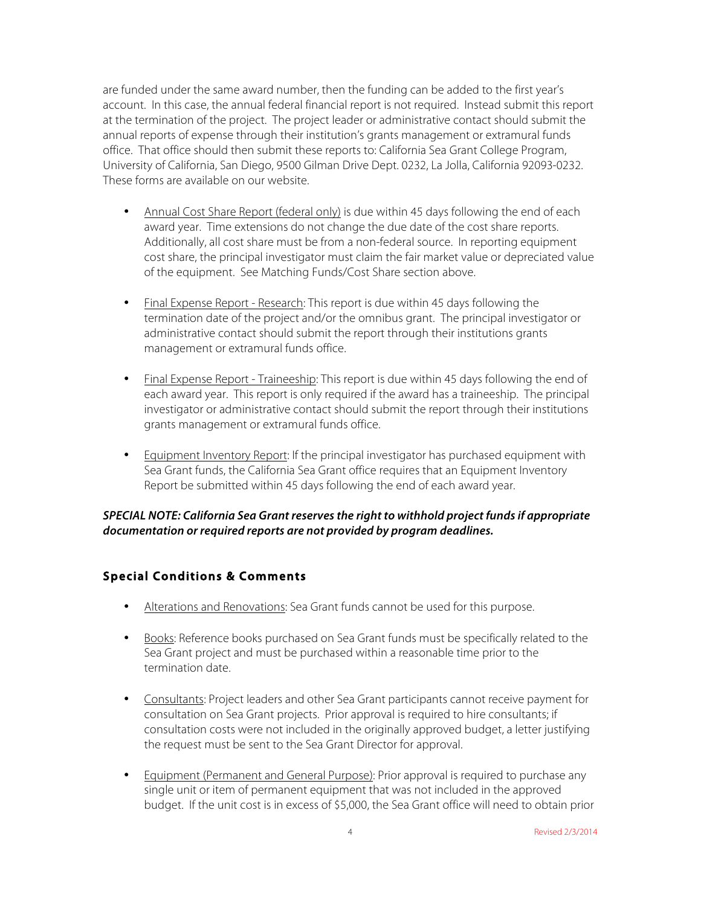are funded under the same award number, then the funding can be added to the first year's account. In this case, the annual federal financial report is not required. Instead submit this report at the termination of the project. The project leader or administrative contact should submit the annual reports of expense through their institution's grants management or extramural funds office. That office should then submit these reports to: California Sea Grant College Program, University of California, San Diego, 9500 Gilman Drive Dept. 0232, La Jolla, California 92093-0232. These forms are available on our website.

- Annual Cost Share Report (federal only) is due within 45 days following the end of each award year. Time extensions do not change the due date of the cost share reports. Additionally, all cost share must be from a non-federal source. In reporting equipment cost share, the principal investigator must claim the fair market value or depreciated value of the equipment. See Matching Funds/Cost Share section above.
- Final Expense Report Research: This report is due within 45 days following the termination date of the project and/or the omnibus grant. The principal investigator or administrative contact should submit the report through their institutions grants management or extramural funds office.
- Final Expense Report Traineeship: This report is due within 45 days following the end of each award year. This report is only required if the award has a traineeship. The principal investigator or administrative contact should submit the report through their institutions grants management or extramural funds office.
- Equipment Inventory Report: If the principal investigator has purchased equipment with Sea Grant funds, the California Sea Grant office requires that an Equipment Inventory Report be submitted within 45 days following the end of each award year.

#### *SPECIAL NOTE: California Sea Grant reserves the right to withhold project funds if appropriate documentation or required reports are not provided by program deadlines.*

# **Special Conditions & Comments**

- Alterations and Renovations: Sea Grant funds cannot be used for this purpose.
- Books: Reference books purchased on Sea Grant funds must be specifically related to the Sea Grant project and must be purchased within a reasonable time prior to the termination date.
- Consultants: Project leaders and other Sea Grant participants cannot receive payment for consultation on Sea Grant projects. Prior approval is required to hire consultants; if consultation costs were not included in the originally approved budget, a letter justifying the request must be sent to the Sea Grant Director for approval.
- Equipment (Permanent and General Purpose): Prior approval is required to purchase any single unit or item of permanent equipment that was not included in the approved budget. If the unit cost is in excess of \$5,000, the Sea Grant office will need to obtain prior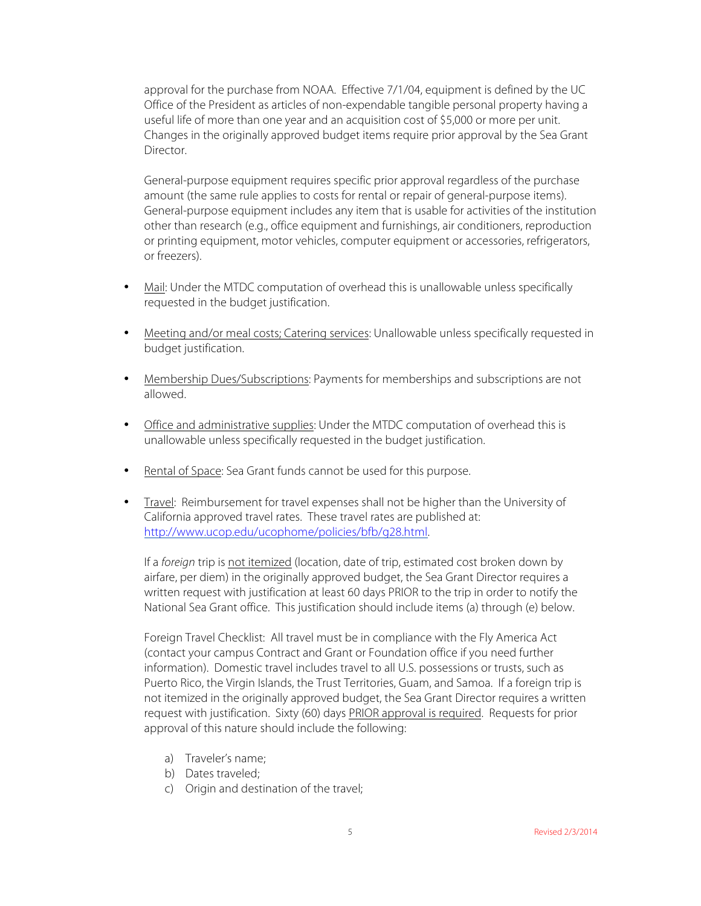approval for the purchase from NOAA. Effective 7/1/04, equipment is defined by the UC Office of the President as articles of non-expendable tangible personal property having a useful life of more than one year and an acquisition cost of \$5,000 or more per unit. Changes in the originally approved budget items require prior approval by the Sea Grant Director.

General-purpose equipment requires specific prior approval regardless of the purchase amount (the same rule applies to costs for rental or repair of general-purpose items). General-purpose equipment includes any item that is usable for activities of the institution other than research (e.g., office equipment and furnishings, air conditioners, reproduction or printing equipment, motor vehicles, computer equipment or accessories, refrigerators, or freezers).

- Mail: Under the MTDC computation of overhead this is unallowable unless specifically requested in the budget justification.
- Meeting and/or meal costs; Catering services: Unallowable unless specifically requested in budget justification.
- Membership Dues/Subscriptions: Payments for memberships and subscriptions are not allowed.
- Office and administrative supplies: Under the MTDC computation of overhead this is unallowable unless specifically requested in the budget justification.
- Rental of Space: Sea Grant funds cannot be used for this purpose.
- Travel: Reimbursement for travel expenses shall not be higher than the University of California approved travel rates. These travel rates are published at: http://www.ucop.edu/ucophome/policies/bfb/g28.html.

If a *foreign* trip is not itemized (location, date of trip, estimated cost broken down by airfare, per diem) in the originally approved budget, the Sea Grant Director requires a written request with justification at least 60 days PRIOR to the trip in order to notify the National Sea Grant office. This justification should include items (a) through (e) below.

Foreign Travel Checklist: All travel must be in compliance with the Fly America Act (contact your campus Contract and Grant or Foundation office if you need further information). Domestic travel includes travel to all U.S. possessions or trusts, such as Puerto Rico, the Virgin Islands, the Trust Territories, Guam, and Samoa. If a foreign trip is not itemized in the originally approved budget, the Sea Grant Director requires a written request with justification. Sixty (60) days PRIOR approval is required. Requests for prior approval of this nature should include the following:

- a) Traveler's name;
- b) Dates traveled;
- c) Origin and destination of the travel;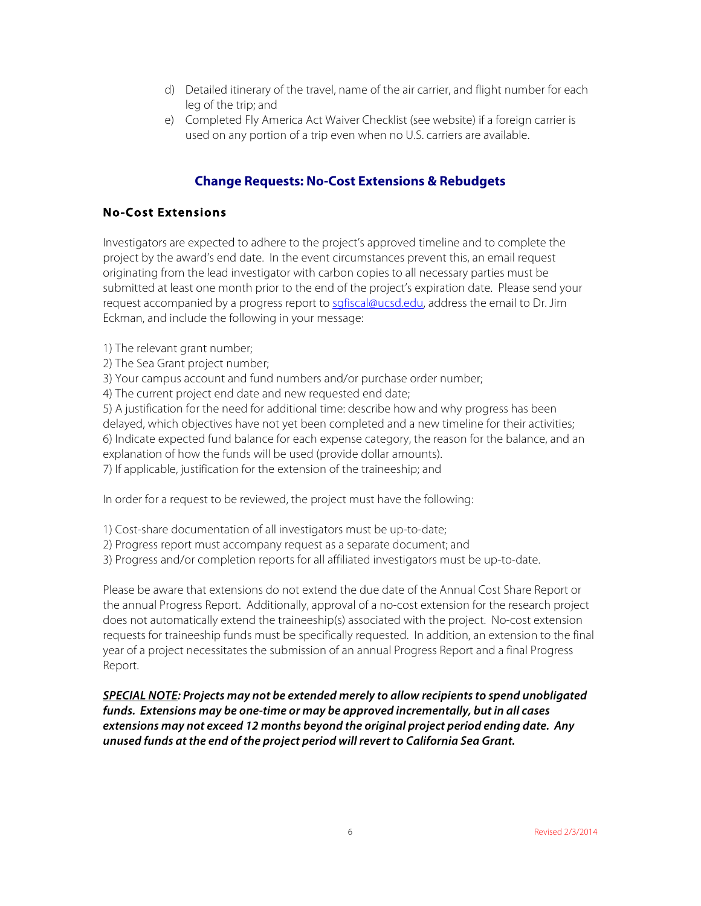- d) Detailed itinerary of the travel, name of the air carrier, and flight number for each leg of the trip; and
- e) Completed Fly America Act Waiver Checklist (see website) if a foreign carrier is used on any portion of a trip even when no U.S. carriers are available.

# **Change Requests: No-Cost Extensions & Rebudgets**

### **No-Cost Extensions**

Investigators are expected to adhere to the project's approved timeline and to complete the project by the award's end date. In the event circumstances prevent this, an email request originating from the lead investigator with carbon copies to all necessary parties must be submitted at least one month prior to the end of the project's expiration date. Please send your request accompanied by a progress report to sgfiscal@ucsd.edu, address the email to Dr. Jim Eckman, and include the following in your message:

- 1) The relevant grant number;
- 2) The Sea Grant project number;
- 3) Your campus account and fund numbers and/or purchase order number;
- 4) The current project end date and new requested end date;

5) A justification for the need for additional time: describe how and why progress has been delayed, which objectives have not yet been completed and a new timeline for their activities; 6) Indicate expected fund balance for each expense category, the reason for the balance, and an explanation of how the funds will be used (provide dollar amounts).

7) If applicable, justification for the extension of the traineeship; and

In order for a request to be reviewed, the project must have the following:

- 1) Cost-share documentation of all investigators must be up-to-date;
- 2) Progress report must accompany request as a separate document; and
- 3) Progress and/or completion reports for all affiliated investigators must be up-to-date.

Please be aware that extensions do not extend the due date of the Annual Cost Share Report or the annual Progress Report. Additionally, approval of a no-cost extension for the research project does not automatically extend the traineeship(s) associated with the project. No-cost extension requests for traineeship funds must be specifically requested. In addition, an extension to the final year of a project necessitates the submission of an annual Progress Report and a final Progress Report.

*SPECIAL NOTE: Projects may not be extended merely to allow recipients to spend unobligated funds. Extensions may be one-time or may be approved incrementally, but in all cases extensions may not exceed 12 months beyond the original project period ending date. Any unused funds at the end of the project period will revert to California Sea Grant.*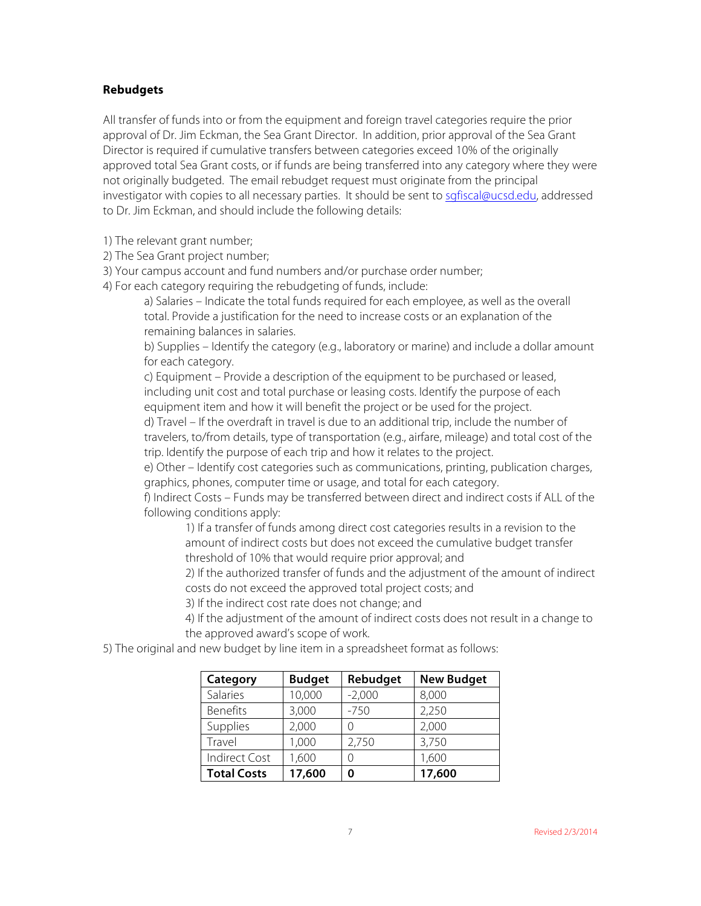#### **Rebudgets**

All transfer of funds into or from the equipment and foreign travel categories require the prior approval of Dr. Jim Eckman, the Sea Grant Director. In addition, prior approval of the Sea Grant Director is required if cumulative transfers between categories exceed 10% of the originally approved total Sea Grant costs, or if funds are being transferred into any category where they were not originally budgeted. The email rebudget request must originate from the principal investigator with copies to all necessary parties. It should be sent to sgfiscal@ucsd.edu, addressed to Dr. Jim Eckman, and should include the following details:

1) The relevant grant number;

2) The Sea Grant project number;

3) Your campus account and fund numbers and/or purchase order number;

4) For each category requiring the rebudgeting of funds, include:

a) Salaries – Indicate the total funds required for each employee, as well as the overall total. Provide a justification for the need to increase costs or an explanation of the remaining balances in salaries.

b) Supplies – Identify the category (e.g., laboratory or marine) and include a dollar amount for each category.

c) Equipment – Provide a description of the equipment to be purchased or leased, including unit cost and total purchase or leasing costs. Identify the purpose of each equipment item and how it will benefit the project or be used for the project.

d) Travel – If the overdraft in travel is due to an additional trip, include the number of travelers, to/from details, type of transportation (e.g., airfare, mileage) and total cost of the trip. Identify the purpose of each trip and how it relates to the project.

e) Other – Identify cost categories such as communications, printing, publication charges, graphics, phones, computer time or usage, and total for each category.

f) Indirect Costs – Funds may be transferred between direct and indirect costs if ALL of the following conditions apply:

1) If a transfer of funds among direct cost categories results in a revision to the amount of indirect costs but does not exceed the cumulative budget transfer threshold of 10% that would require prior approval; and

2) If the authorized transfer of funds and the adjustment of the amount of indirect costs do not exceed the approved total project costs; and

3) If the indirect cost rate does not change; and

4) If the adjustment of the amount of indirect costs does not result in a change to the approved award's scope of work.

5) The original and new budget by line item in a spreadsheet format as follows:

| Category             | <b>Budget</b> | Rebudget | <b>New Budget</b> |
|----------------------|---------------|----------|-------------------|
| Salaries             | 10,000        | $-2,000$ | 8,000             |
| <b>Benefits</b>      | 3,000         | $-750$   | 2,250             |
| Supplies             | 2,000         |          | 2,000             |
| Travel               | 1,000         | 2,750    | 3,750             |
| <b>Indirect Cost</b> | 1,600         |          | 1,600             |
| <b>Total Costs</b>   | 17,600        |          | 17,600            |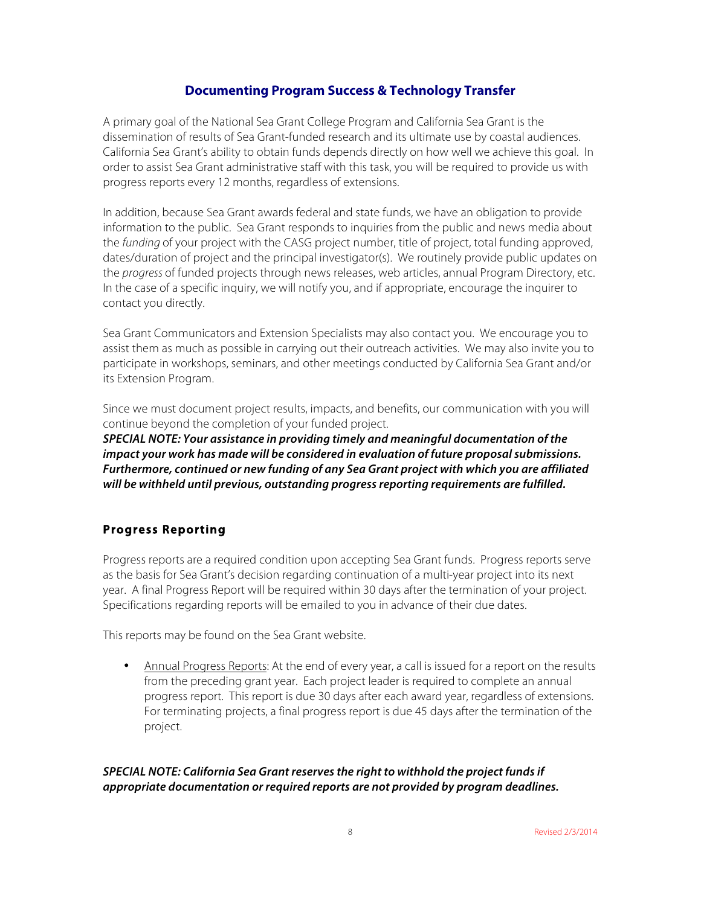# **Documenting Program Success & Technology Transfer**

A primary goal of the National Sea Grant College Program and California Sea Grant is the dissemination of results of Sea Grant-funded research and its ultimate use by coastal audiences. California Sea Grant's ability to obtain funds depends directly on how well we achieve this goal. In order to assist Sea Grant administrative staff with this task, you will be required to provide us with progress reports every 12 months, regardless of extensions.

In addition, because Sea Grant awards federal and state funds, we have an obligation to provide information to the public. Sea Grant responds to inquiries from the public and news media about the *funding* of your project with the CASG project number, title of project, total funding approved, dates/duration of project and the principal investigator(s). We routinely provide public updates on the *progress* of funded projects through news releases, web articles, annual Program Directory, etc. In the case of a specific inquiry, we will notify you, and if appropriate, encourage the inquirer to contact you directly.

Sea Grant Communicators and Extension Specialists may also contact you. We encourage you to assist them as much as possible in carrying out their outreach activities. We may also invite you to participate in workshops, seminars, and other meetings conducted by California Sea Grant and/or its Extension Program.

Since we must document project results, impacts, and benefits, our communication with you will continue beyond the completion of your funded project.

*SPECIAL NOTE: Your assistance in providing timely and meaningful documentation of the impact your work has made will be considered in evaluation of future proposal submissions. Furthermore, continued or new funding of any Sea Grant project with which you are affiliated will be withheld until previous, outstanding progress reporting requirements are fulfilled.*

# **Progress Reporting**

Progress reports are a required condition upon accepting Sea Grant funds. Progress reports serve as the basis for Sea Grant's decision regarding continuation of a multi-year project into its next year. A final Progress Report will be required within 30 days after the termination of your project. Specifications regarding reports will be emailed to you in advance of their due dates.

This reports may be found on the Sea Grant website.

• Annual Progress Reports: At the end of every year, a call is issued for a report on the results from the preceding grant year. Each project leader is required to complete an annual progress report. This report is due 30 days after each award year, regardless of extensions. For terminating projects, a final progress report is due 45 days after the termination of the project.

# *SPECIAL NOTE: California Sea Grant reserves the right to withhold the project funds if appropriate documentation or required reports are not provided by program deadlines.*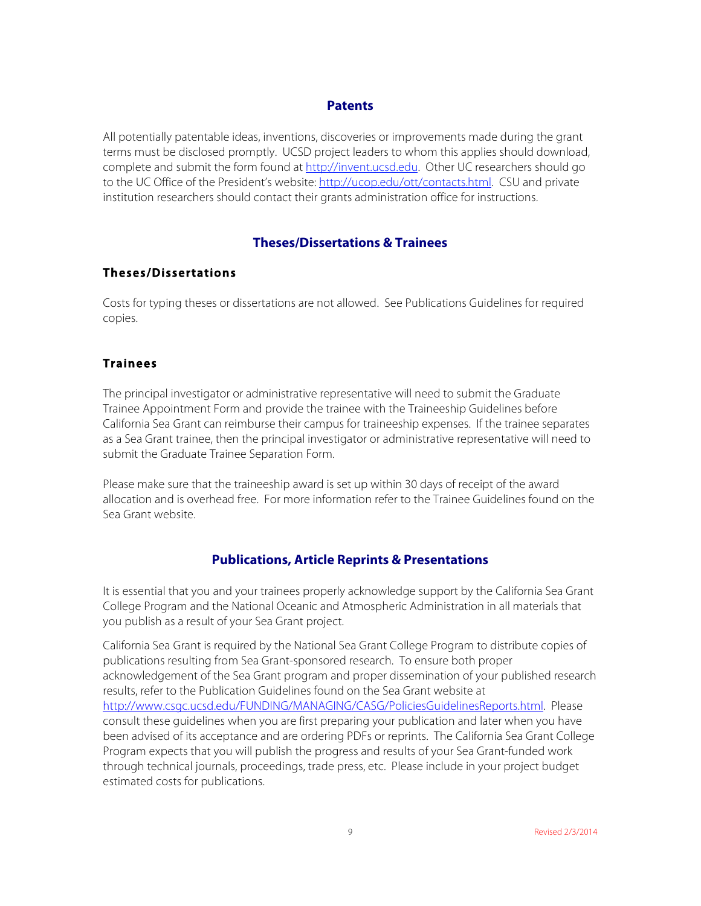#### **Patents**

All potentially patentable ideas, inventions, discoveries or improvements made during the grant terms must be disclosed promptly. UCSD project leaders to whom this applies should download, complete and submit the form found at http://invent.ucsd.edu. Other UC researchers should go to the UC Office of the President's website: http://ucop.edu/ott/contacts.html. CSU and private institution researchers should contact their grants administration office for instructions.

# **Theses/Dissertations & Trainees**

#### **Theses/Dissertations**

Costs for typing theses or dissertations are not allowed. See Publications Guidelines for required copies.

#### **Trainees**

The principal investigator or administrative representative will need to submit the Graduate Trainee Appointment Form and provide the trainee with the Traineeship Guidelines before California Sea Grant can reimburse their campus for traineeship expenses. If the trainee separates as a Sea Grant trainee, then the principal investigator or administrative representative will need to submit the Graduate Trainee Separation Form.

Please make sure that the traineeship award is set up within 30 days of receipt of the award allocation and is overhead free. For more information refer to the Trainee Guidelines found on the Sea Grant website.

# **Publications, Article Reprints & Presentations**

It is essential that you and your trainees properly acknowledge support by the California Sea Grant College Program and the National Oceanic and Atmospheric Administration in all materials that you publish as a result of your Sea Grant project.

California Sea Grant is required by the National Sea Grant College Program to distribute copies of publications resulting from Sea Grant-sponsored research. To ensure both proper acknowledgement of the Sea Grant program and proper dissemination of your published research results, refer to the Publication Guidelines found on the Sea Grant website at http://www.csgc.ucsd.edu/FUNDING/MANAGING/CASG/PoliciesGuidelinesReports.html. Please consult these guidelines when you are first preparing your publication and later when you have been advised of its acceptance and are ordering PDFs or reprints. The California Sea Grant College Program expects that you will publish the progress and results of your Sea Grant-funded work through technical journals, proceedings, trade press, etc. Please include in your project budget estimated costs for publications.